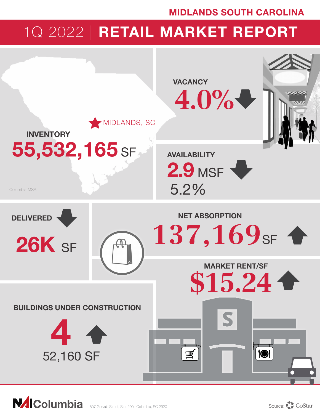## MIDLANDS SOUTH CAROLINA

# 1Q 2022 | RETAIL MARKET REPORT

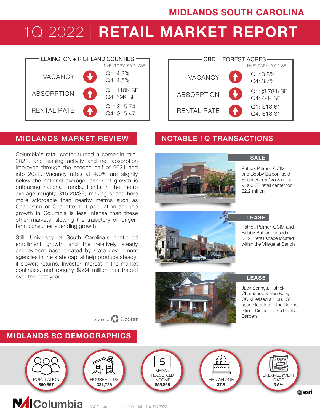# 1Q 2022 | RETAIL MARKET REPORT



### MIDLANDS MARKET REVIEW NOTABLE 1Q TRANSACTIONS

Columbia's retail sector turned a corner in mid-2021, and leasing activity and net absorption improved through the second half of 2021 and into 2022. Vacancy rates at 4.0% are slightly below the national average, and rent growth is outpacing national trends. Rents in the metro average roughly \$15.20/SF, making space here more affordable than nearby metros such as Charleston or Charlotte, but population and job growth in Columbia is less intense than these other markets, slowing the trajectory of longerterm consumer spending growth.

Still, University of South Carolina's continued enrollment growth and the relatively steady employment base created by state government agencies in the state capital help produce steady, if slower, returns. Investor interest in the market continues, and roughly \$394 million has traded over the past year.





#### SALE

Patrick Palmer, CCIM and Bobby Balboni sold Sparkleberry Crossing, a 9,000 SF retail center for \$2.2 million





#### **LEASE**

Patrick Palmer, CCIM and Bobby Balboni leased a 5,122 retail space located within the Village at Sandhill

Jack Springs, Patrick Chambers, & Ben Kelly, CCIM leased a 1,583 SF space located in the Devine Street District to Soda City **Barbers** LEASE

Source: CoStar

### MIDLANDS SC DEMOGRAPHICS